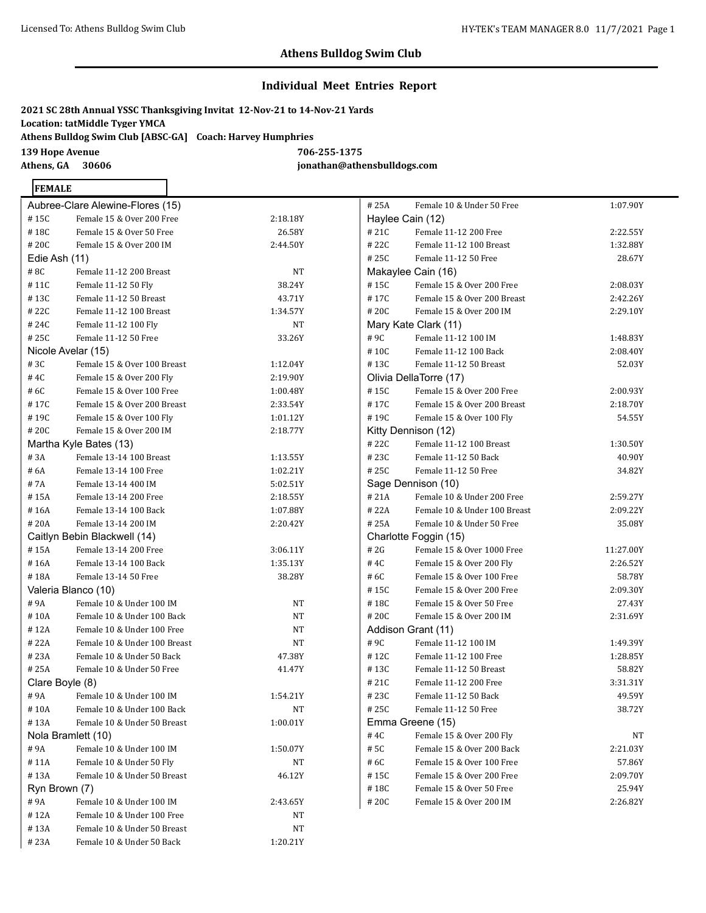## **Individual Meet Entries Report**

**2021 SC 28th Annual YSSC Thanksgiving Invitat 12-Nov-21 to 14-Nov-21 Yards Location: tatMiddle Tyger YMCA Athens Bulldog Swim Club [ABSC-GA] Coach: Harvey Humphries 139 Hope Avenue 706-255-1375 Athens, GA 30606 jonathan@athensbulldogs.com**

### **FEMALE**

|                 | Aubree-Clare Alewine-Flores (15) |          | Ħ |
|-----------------|----------------------------------|----------|---|
| #15C            | Female 15 & Over 200 Free        | 2:18.18Y | ŀ |
| #18C            | Female 15 & Over 50 Free         | 26.58Y   | Ħ |
| # 20C           | Female 15 & Over 200 IM          | 2:44.50Y | Ħ |
| Edie Ash (11)   |                                  |          | Ħ |
| #8C             | Female 11-12 200 Breast          | NΤ       | N |
| #11C            | Female 11-12 50 Fly              | 38.24Y   | Ħ |
| #13C            | Female 11-12 50 Breast           | 43.71Y   | Ħ |
| #22C            | Female 11-12 100 Breast          | 1:34.57Y | Ħ |
| #24C            | Female 11-12 100 Fly             | NT       | N |
| # 25C           | Female 11-12 50 Free             | 33.26Y   | Ħ |
|                 | Nicole Avelar (15)               |          | Ħ |
| #3C             | Female 15 & Over 100 Breast      | 1:12.04Y | Ħ |
| #4C             | Female 15 & Over 200 Fly         | 2:19.90Y | C |
| # 6C            | Female 15 & Over 100 Free        | 1:00.48Y | Ħ |
| #17C            | Female 15 & Over 200 Breast      | 2:33.54Y | Ħ |
| #19C            | Female 15 & Over 100 Fly         | 1:01.12Y | Ħ |
| # 20C           | Female 15 & Over 200 IM          | 2:18.77Y | ł |
|                 | Martha Kyle Bates (13)           |          | Ħ |
| #3A             | Female 13-14 100 Breast          | 1:13.55Y | Ħ |
| # 6A            | Female 13-14 100 Free            | 1:02.21Y | Ħ |
| #7A             | Female 13-14 400 IM              | 5:02.51Y | ς |
| #15A            | Female 13-14 200 Free            | 2:18.55Y | Ħ |
| #16A            | Female 13-14 100 Back            | 1:07.88Y | Ħ |
| #20A            | Female 13-14 200 IM              | 2:20.42Y | Ħ |
|                 | Caitlyn Bebin Blackwell (14)     |          | C |
| #15A            | Female 13-14 200 Free            | 3:06.11Y | Ħ |
| #16A            | Female 13-14 100 Back            | 1:35.13Y | Ħ |
| #18A            | Female 13-14 50 Free             | 38.28Y   | Ħ |
|                 | Valeria Blanco (10)              |          | Ħ |
| #9A             | Female 10 & Under 100 IM         | NT       | Ħ |
| #10A            | Female 10 & Under 100 Back       | NΤ       | Ħ |
| # 12A           | Female 10 & Under 100 Free       | NΤ       | ŀ |
| # 22A           | Female 10 & Under 100 Breast     | NΤ       | Ħ |
| # 23A           | Female 10 & Under 50 Back        | 47.38Y   | Ħ |
| # 25A           | Female 10 & Under 50 Free        | 41.47Y   | Ħ |
| Clare Boyle (8) |                                  |          | Ħ |
| #9A             | Female 10 & Under 100 IM         | 1:54.21Y | Ħ |
| # 10A           | Female 10 & Under 100 Back       | NΤ       | Ħ |
| #13A            | Female 10 & Under 50 Breast      | 1:00.01Y | Þ |
|                 | Nola Bramlett (10)               |          | Ħ |
| #9A             | Female 10 & Under 100 IM         | 1:50.07Y | Ħ |
| #11A            | Female 10 & Under 50 Fly         | NΤ       | # |
| #13A            | Female 10 & Under 50 Breast      | 46.12Y   | Ħ |
| Ryn Brown (7)   |                                  |          | Ħ |
| #9A             | Female 10 & Under 100 IM         | 2:43.65Y | Ħ |
| #12A            | Female 10 & Under 100 Free       | NΤ       |   |
| # 13A           | Female 10 & Under 50 Breast      | NT       |   |
| #23A            | Female 10 & Under 50 Back        | 1:20.21Y |   |

| #25A             | Female 10 & Under 50 Free    | 1:07.90Y  |
|------------------|------------------------------|-----------|
| Haylee Cain (12) |                              |           |
| #21C             | Female 11-12 200 Free        | 2:22.55Y  |
| #22C             | Female 11-12 100 Breast      | 1:32.88Y  |
| #25C             | Female 11-12 50 Free         | 28.67Y    |
|                  | Makaylee Cain (16)           |           |
| #15C             | Female 15 & Over 200 Free    | 2:08.03Y  |
| #17C             | Female 15 & Over 200 Breast  | 2:42.26Y  |
| #20C             | Female 15 & Over 200 IM      | 2:29.10Y  |
|                  | Mary Kate Clark (11)         |           |
| #9C              | Female 11-12 100 IM          | 1:48.83Y  |
| #10C             | Female 11-12 100 Back        | 2:08.40Y  |
| #13C             | Female 11-12 50 Breast       | 52.03Y    |
|                  | Olivia DellaTorre (17)       |           |
| #15C             | Female 15 & Over 200 Free    | 2:00.93Y  |
| #17C             | Female 15 & Over 200 Breast  | 2:18.70Y  |
| #19C             | Female 15 & Over 100 Fly     | 54.55Y    |
|                  | Kitty Dennison (12)          |           |
| #22C             | Female 11-12 100 Breast      | 1:30.50Y  |
| #23C             | Female 11-12 50 Back         | 40.90Y    |
| #25C             | Female 11-12 50 Free         | 34.82Y    |
|                  | Sage Dennison (10)           |           |
| #21A             | Female 10 & Under 200 Free   | 2:59.27Y  |
| # 22A            | Female 10 & Under 100 Breast | 2:09.22Y  |
| # 25A            | Female 10 & Under 50 Free    | 35.08Y    |
|                  | Charlotte Foggin (15)        |           |
| # 2G             | Female 15 & Over 1000 Free   | 11:27.00Y |
| #4C              | Female 15 & Over 200 Fly     | 2:26.52Y  |
| # 6C             | Female 15 & Over 100 Free    | 58.78Y    |
| #15C             | Female 15 & Over 200 Free    | 2:09.30Y  |
| # 18C            | Female 15 & Over 50 Free     | 27.43Y    |
| #20C             | Female 15 & Over 200 IM      | 2:31.69Y  |
|                  | Addison Grant (11)           |           |
| #9C              | Female 11-12 100 IM          | 1:49.39Y  |
| # 12C            | Female 11-12 100 Free        | 1:28.85Y  |
| #13C             | Female 11-12 50 Breast       | 58.82Y    |
| # 21C            | Female 11-12 200 Free        | 3:31.31Y  |
| # 23C            | Female 11-12 50 Back         | 49.59Y    |
| #25C             | Female 11-12 50 Free         | 38.72Y    |
|                  | Emma Greene (15)             |           |
| # 4C             | Female 15 & Over 200 Fly     | NT        |
| # 5C             | Female 15 & Over 200 Back    | 2:21.03Y  |
| #6C              | Female 15 & Over 100 Free    | 57.86Y    |
| #15C             | Female 15 & Over 200 Free    | 2:09.70Y  |
| # 18C            | Female 15 & Over 50 Free     | 25.94Y    |
| #20C             | Female 15 & Over 200 IM      | 2:26.82Y  |
|                  |                              |           |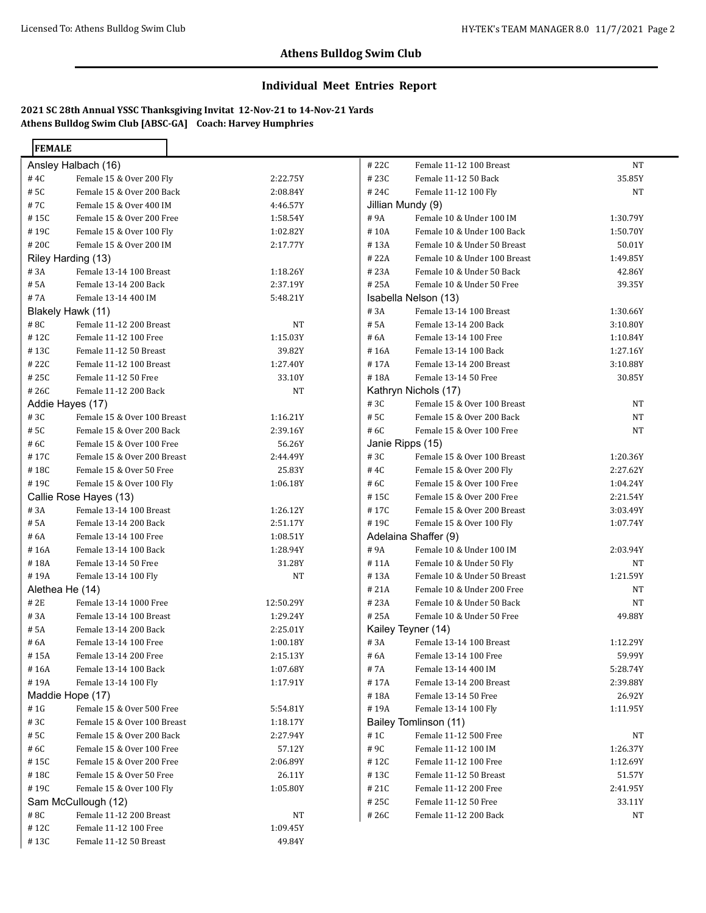## **Individual Meet Entries Report**

**2021 SC 28th Annual YSSC Thanksgiving Invitat 12-Nov-21 to 14-Nov-21 Yards Athens Bulldog Swim Club [ABSC-GA] Coach: Harvey Humphries**

| Ansley Halbach (16)<br>Female 15 & Over 200 Fly<br># 4C<br>2:22.75Y<br>Female 15 & Over 200 Back<br># 5C<br>2:08.84Y<br>Female 15 & Over 400 IM<br># 7C<br>4:46.57Y<br>Female 15 & Over 200 Free<br># 15C<br>1:58.54Y<br>Female 15 & Over 100 Fly<br># 19C<br>1:02.82Y<br>Female 15 & Over 200 IM<br>#20C<br>2:17.77Y<br>Riley Harding (13)<br>Female 13-14 100 Breast<br># 3A<br>1:18.26Y<br># 5A<br>Female 13-14 200 Back<br>2:37.19Y<br>Female 13-14 400 IM<br># 7A<br>5:48.21Y<br>Blakely Hawk (11)<br>Female 11-12 200 Breast<br>#8C<br>NΤ<br>Female 11-12 100 Free<br>#12C<br>1:15.03Y<br>Female 11-12 50 Breast<br>#13C<br>39.82Y<br>Female 11-12 100 Breast<br># 22C<br>1:27.40Y<br>Female 11-12 50 Free<br># 25C<br>33.10Y<br>Female 11-12 200 Back<br>#26C<br>NT<br>Addie Hayes (17)<br>#3C<br>Female 15 & Over 100 Breast<br>1:16.21Y<br>Female 15 & Over 200 Back<br># 5C<br>2:39.16Y<br>Female 15 & Over 100 Free<br># 6C<br>56.26Y<br>Female 15 & Over 200 Breast<br># 17C<br>2:44.49Y<br>Female 15 & Over 50 Free<br>#18C<br>25.83Y<br>Female 15 & Over 100 Fly<br>#19C<br>1:06.18Y<br>Callie Rose Hayes (13)<br>Female 13-14 100 Breast<br>#3A<br>1:26.12Y<br># 5A<br>Female 13-14 200 Back<br>2:51.17Y<br># 6A<br>Female 13-14 100 Free<br>1:08.51Y<br>Female 13-14 100 Back<br># 16A<br>1:28.94Y<br>Female 13-14 50 Free<br>#18A<br>31.28Y<br>Female 13-14 100 Fly<br># 19A<br>NΤ<br>Alethea He (14)<br>#2E<br>Female 13-14 1000 Free<br>12:50.29Y<br># 3A<br>Female 13-14 100 Breast<br>1:29.24Y<br># 5A<br>Female 13-14 200 Back<br>2:25.01Y<br>Female 13-14 100 Free<br># 6A<br>1:00.18Y<br>#15A<br>Female 13-14 200 Free<br>2:15.13Y<br>Female 13-14 100 Back<br># 16A<br>1:07.68Y<br>Female 13-14 100 Fly<br>#19A<br>1:17.91Y<br>Maddie Hope (17)<br>Female 15 & Over 500 Free<br>#1G<br>5:54.81Y<br>Female 15 & Over 100 Breast<br>#3C<br>1:18.17Y<br>Female 15 & Over 200 Back<br># 5C<br>2:27.94Y<br>#6C<br>Female 15 & Over 100 Free<br>57.12Y<br>Female 15 & Over 200 Free<br>#15C<br>2:06.89Y<br>Female 15 & Over 50 Free<br>#18C<br>26.11Y<br>Female 15 & Over 100 Fly<br>#19C<br>1:05.80Y<br>Sam McCullough (12)<br>Female 11-12 200 Breast<br>#8C<br>NT<br>Female 11-12 100 Free<br># 12C<br>1:09.45Y | <b>FEMALE</b> |                        |        |
|---------------------------------------------------------------------------------------------------------------------------------------------------------------------------------------------------------------------------------------------------------------------------------------------------------------------------------------------------------------------------------------------------------------------------------------------------------------------------------------------------------------------------------------------------------------------------------------------------------------------------------------------------------------------------------------------------------------------------------------------------------------------------------------------------------------------------------------------------------------------------------------------------------------------------------------------------------------------------------------------------------------------------------------------------------------------------------------------------------------------------------------------------------------------------------------------------------------------------------------------------------------------------------------------------------------------------------------------------------------------------------------------------------------------------------------------------------------------------------------------------------------------------------------------------------------------------------------------------------------------------------------------------------------------------------------------------------------------------------------------------------------------------------------------------------------------------------------------------------------------------------------------------------------------------------------------------------------------------------------------------------------------------------------------------------------------------------------------------------------------------------------------------------------------------------------------------------------------------------------|---------------|------------------------|--------|
|                                                                                                                                                                                                                                                                                                                                                                                                                                                                                                                                                                                                                                                                                                                                                                                                                                                                                                                                                                                                                                                                                                                                                                                                                                                                                                                                                                                                                                                                                                                                                                                                                                                                                                                                                                                                                                                                                                                                                                                                                                                                                                                                                                                                                                       |               |                        |        |
|                                                                                                                                                                                                                                                                                                                                                                                                                                                                                                                                                                                                                                                                                                                                                                                                                                                                                                                                                                                                                                                                                                                                                                                                                                                                                                                                                                                                                                                                                                                                                                                                                                                                                                                                                                                                                                                                                                                                                                                                                                                                                                                                                                                                                                       |               |                        |        |
|                                                                                                                                                                                                                                                                                                                                                                                                                                                                                                                                                                                                                                                                                                                                                                                                                                                                                                                                                                                                                                                                                                                                                                                                                                                                                                                                                                                                                                                                                                                                                                                                                                                                                                                                                                                                                                                                                                                                                                                                                                                                                                                                                                                                                                       |               |                        |        |
|                                                                                                                                                                                                                                                                                                                                                                                                                                                                                                                                                                                                                                                                                                                                                                                                                                                                                                                                                                                                                                                                                                                                                                                                                                                                                                                                                                                                                                                                                                                                                                                                                                                                                                                                                                                                                                                                                                                                                                                                                                                                                                                                                                                                                                       |               |                        |        |
|                                                                                                                                                                                                                                                                                                                                                                                                                                                                                                                                                                                                                                                                                                                                                                                                                                                                                                                                                                                                                                                                                                                                                                                                                                                                                                                                                                                                                                                                                                                                                                                                                                                                                                                                                                                                                                                                                                                                                                                                                                                                                                                                                                                                                                       |               |                        |        |
|                                                                                                                                                                                                                                                                                                                                                                                                                                                                                                                                                                                                                                                                                                                                                                                                                                                                                                                                                                                                                                                                                                                                                                                                                                                                                                                                                                                                                                                                                                                                                                                                                                                                                                                                                                                                                                                                                                                                                                                                                                                                                                                                                                                                                                       |               |                        |        |
|                                                                                                                                                                                                                                                                                                                                                                                                                                                                                                                                                                                                                                                                                                                                                                                                                                                                                                                                                                                                                                                                                                                                                                                                                                                                                                                                                                                                                                                                                                                                                                                                                                                                                                                                                                                                                                                                                                                                                                                                                                                                                                                                                                                                                                       |               |                        |        |
|                                                                                                                                                                                                                                                                                                                                                                                                                                                                                                                                                                                                                                                                                                                                                                                                                                                                                                                                                                                                                                                                                                                                                                                                                                                                                                                                                                                                                                                                                                                                                                                                                                                                                                                                                                                                                                                                                                                                                                                                                                                                                                                                                                                                                                       |               |                        |        |
|                                                                                                                                                                                                                                                                                                                                                                                                                                                                                                                                                                                                                                                                                                                                                                                                                                                                                                                                                                                                                                                                                                                                                                                                                                                                                                                                                                                                                                                                                                                                                                                                                                                                                                                                                                                                                                                                                                                                                                                                                                                                                                                                                                                                                                       |               |                        |        |
|                                                                                                                                                                                                                                                                                                                                                                                                                                                                                                                                                                                                                                                                                                                                                                                                                                                                                                                                                                                                                                                                                                                                                                                                                                                                                                                                                                                                                                                                                                                                                                                                                                                                                                                                                                                                                                                                                                                                                                                                                                                                                                                                                                                                                                       |               |                        |        |
|                                                                                                                                                                                                                                                                                                                                                                                                                                                                                                                                                                                                                                                                                                                                                                                                                                                                                                                                                                                                                                                                                                                                                                                                                                                                                                                                                                                                                                                                                                                                                                                                                                                                                                                                                                                                                                                                                                                                                                                                                                                                                                                                                                                                                                       |               |                        |        |
|                                                                                                                                                                                                                                                                                                                                                                                                                                                                                                                                                                                                                                                                                                                                                                                                                                                                                                                                                                                                                                                                                                                                                                                                                                                                                                                                                                                                                                                                                                                                                                                                                                                                                                                                                                                                                                                                                                                                                                                                                                                                                                                                                                                                                                       |               |                        |        |
|                                                                                                                                                                                                                                                                                                                                                                                                                                                                                                                                                                                                                                                                                                                                                                                                                                                                                                                                                                                                                                                                                                                                                                                                                                                                                                                                                                                                                                                                                                                                                                                                                                                                                                                                                                                                                                                                                                                                                                                                                                                                                                                                                                                                                                       |               |                        |        |
|                                                                                                                                                                                                                                                                                                                                                                                                                                                                                                                                                                                                                                                                                                                                                                                                                                                                                                                                                                                                                                                                                                                                                                                                                                                                                                                                                                                                                                                                                                                                                                                                                                                                                                                                                                                                                                                                                                                                                                                                                                                                                                                                                                                                                                       |               |                        |        |
|                                                                                                                                                                                                                                                                                                                                                                                                                                                                                                                                                                                                                                                                                                                                                                                                                                                                                                                                                                                                                                                                                                                                                                                                                                                                                                                                                                                                                                                                                                                                                                                                                                                                                                                                                                                                                                                                                                                                                                                                                                                                                                                                                                                                                                       |               |                        |        |
|                                                                                                                                                                                                                                                                                                                                                                                                                                                                                                                                                                                                                                                                                                                                                                                                                                                                                                                                                                                                                                                                                                                                                                                                                                                                                                                                                                                                                                                                                                                                                                                                                                                                                                                                                                                                                                                                                                                                                                                                                                                                                                                                                                                                                                       |               |                        |        |
|                                                                                                                                                                                                                                                                                                                                                                                                                                                                                                                                                                                                                                                                                                                                                                                                                                                                                                                                                                                                                                                                                                                                                                                                                                                                                                                                                                                                                                                                                                                                                                                                                                                                                                                                                                                                                                                                                                                                                                                                                                                                                                                                                                                                                                       |               |                        |        |
|                                                                                                                                                                                                                                                                                                                                                                                                                                                                                                                                                                                                                                                                                                                                                                                                                                                                                                                                                                                                                                                                                                                                                                                                                                                                                                                                                                                                                                                                                                                                                                                                                                                                                                                                                                                                                                                                                                                                                                                                                                                                                                                                                                                                                                       |               |                        |        |
|                                                                                                                                                                                                                                                                                                                                                                                                                                                                                                                                                                                                                                                                                                                                                                                                                                                                                                                                                                                                                                                                                                                                                                                                                                                                                                                                                                                                                                                                                                                                                                                                                                                                                                                                                                                                                                                                                                                                                                                                                                                                                                                                                                                                                                       |               |                        |        |
|                                                                                                                                                                                                                                                                                                                                                                                                                                                                                                                                                                                                                                                                                                                                                                                                                                                                                                                                                                                                                                                                                                                                                                                                                                                                                                                                                                                                                                                                                                                                                                                                                                                                                                                                                                                                                                                                                                                                                                                                                                                                                                                                                                                                                                       |               |                        |        |
|                                                                                                                                                                                                                                                                                                                                                                                                                                                                                                                                                                                                                                                                                                                                                                                                                                                                                                                                                                                                                                                                                                                                                                                                                                                                                                                                                                                                                                                                                                                                                                                                                                                                                                                                                                                                                                                                                                                                                                                                                                                                                                                                                                                                                                       |               |                        |        |
|                                                                                                                                                                                                                                                                                                                                                                                                                                                                                                                                                                                                                                                                                                                                                                                                                                                                                                                                                                                                                                                                                                                                                                                                                                                                                                                                                                                                                                                                                                                                                                                                                                                                                                                                                                                                                                                                                                                                                                                                                                                                                                                                                                                                                                       |               |                        |        |
|                                                                                                                                                                                                                                                                                                                                                                                                                                                                                                                                                                                                                                                                                                                                                                                                                                                                                                                                                                                                                                                                                                                                                                                                                                                                                                                                                                                                                                                                                                                                                                                                                                                                                                                                                                                                                                                                                                                                                                                                                                                                                                                                                                                                                                       |               |                        |        |
|                                                                                                                                                                                                                                                                                                                                                                                                                                                                                                                                                                                                                                                                                                                                                                                                                                                                                                                                                                                                                                                                                                                                                                                                                                                                                                                                                                                                                                                                                                                                                                                                                                                                                                                                                                                                                                                                                                                                                                                                                                                                                                                                                                                                                                       |               |                        |        |
|                                                                                                                                                                                                                                                                                                                                                                                                                                                                                                                                                                                                                                                                                                                                                                                                                                                                                                                                                                                                                                                                                                                                                                                                                                                                                                                                                                                                                                                                                                                                                                                                                                                                                                                                                                                                                                                                                                                                                                                                                                                                                                                                                                                                                                       |               |                        |        |
|                                                                                                                                                                                                                                                                                                                                                                                                                                                                                                                                                                                                                                                                                                                                                                                                                                                                                                                                                                                                                                                                                                                                                                                                                                                                                                                                                                                                                                                                                                                                                                                                                                                                                                                                                                                                                                                                                                                                                                                                                                                                                                                                                                                                                                       |               |                        |        |
|                                                                                                                                                                                                                                                                                                                                                                                                                                                                                                                                                                                                                                                                                                                                                                                                                                                                                                                                                                                                                                                                                                                                                                                                                                                                                                                                                                                                                                                                                                                                                                                                                                                                                                                                                                                                                                                                                                                                                                                                                                                                                                                                                                                                                                       |               |                        |        |
|                                                                                                                                                                                                                                                                                                                                                                                                                                                                                                                                                                                                                                                                                                                                                                                                                                                                                                                                                                                                                                                                                                                                                                                                                                                                                                                                                                                                                                                                                                                                                                                                                                                                                                                                                                                                                                                                                                                                                                                                                                                                                                                                                                                                                                       |               |                        |        |
|                                                                                                                                                                                                                                                                                                                                                                                                                                                                                                                                                                                                                                                                                                                                                                                                                                                                                                                                                                                                                                                                                                                                                                                                                                                                                                                                                                                                                                                                                                                                                                                                                                                                                                                                                                                                                                                                                                                                                                                                                                                                                                                                                                                                                                       |               |                        |        |
|                                                                                                                                                                                                                                                                                                                                                                                                                                                                                                                                                                                                                                                                                                                                                                                                                                                                                                                                                                                                                                                                                                                                                                                                                                                                                                                                                                                                                                                                                                                                                                                                                                                                                                                                                                                                                                                                                                                                                                                                                                                                                                                                                                                                                                       |               |                        |        |
|                                                                                                                                                                                                                                                                                                                                                                                                                                                                                                                                                                                                                                                                                                                                                                                                                                                                                                                                                                                                                                                                                                                                                                                                                                                                                                                                                                                                                                                                                                                                                                                                                                                                                                                                                                                                                                                                                                                                                                                                                                                                                                                                                                                                                                       |               |                        |        |
|                                                                                                                                                                                                                                                                                                                                                                                                                                                                                                                                                                                                                                                                                                                                                                                                                                                                                                                                                                                                                                                                                                                                                                                                                                                                                                                                                                                                                                                                                                                                                                                                                                                                                                                                                                                                                                                                                                                                                                                                                                                                                                                                                                                                                                       |               |                        |        |
|                                                                                                                                                                                                                                                                                                                                                                                                                                                                                                                                                                                                                                                                                                                                                                                                                                                                                                                                                                                                                                                                                                                                                                                                                                                                                                                                                                                                                                                                                                                                                                                                                                                                                                                                                                                                                                                                                                                                                                                                                                                                                                                                                                                                                                       |               |                        |        |
|                                                                                                                                                                                                                                                                                                                                                                                                                                                                                                                                                                                                                                                                                                                                                                                                                                                                                                                                                                                                                                                                                                                                                                                                                                                                                                                                                                                                                                                                                                                                                                                                                                                                                                                                                                                                                                                                                                                                                                                                                                                                                                                                                                                                                                       |               |                        |        |
|                                                                                                                                                                                                                                                                                                                                                                                                                                                                                                                                                                                                                                                                                                                                                                                                                                                                                                                                                                                                                                                                                                                                                                                                                                                                                                                                                                                                                                                                                                                                                                                                                                                                                                                                                                                                                                                                                                                                                                                                                                                                                                                                                                                                                                       |               |                        |        |
|                                                                                                                                                                                                                                                                                                                                                                                                                                                                                                                                                                                                                                                                                                                                                                                                                                                                                                                                                                                                                                                                                                                                                                                                                                                                                                                                                                                                                                                                                                                                                                                                                                                                                                                                                                                                                                                                                                                                                                                                                                                                                                                                                                                                                                       |               |                        |        |
|                                                                                                                                                                                                                                                                                                                                                                                                                                                                                                                                                                                                                                                                                                                                                                                                                                                                                                                                                                                                                                                                                                                                                                                                                                                                                                                                                                                                                                                                                                                                                                                                                                                                                                                                                                                                                                                                                                                                                                                                                                                                                                                                                                                                                                       |               |                        |        |
|                                                                                                                                                                                                                                                                                                                                                                                                                                                                                                                                                                                                                                                                                                                                                                                                                                                                                                                                                                                                                                                                                                                                                                                                                                                                                                                                                                                                                                                                                                                                                                                                                                                                                                                                                                                                                                                                                                                                                                                                                                                                                                                                                                                                                                       |               |                        |        |
|                                                                                                                                                                                                                                                                                                                                                                                                                                                                                                                                                                                                                                                                                                                                                                                                                                                                                                                                                                                                                                                                                                                                                                                                                                                                                                                                                                                                                                                                                                                                                                                                                                                                                                                                                                                                                                                                                                                                                                                                                                                                                                                                                                                                                                       |               |                        |        |
|                                                                                                                                                                                                                                                                                                                                                                                                                                                                                                                                                                                                                                                                                                                                                                                                                                                                                                                                                                                                                                                                                                                                                                                                                                                                                                                                                                                                                                                                                                                                                                                                                                                                                                                                                                                                                                                                                                                                                                                                                                                                                                                                                                                                                                       |               |                        |        |
|                                                                                                                                                                                                                                                                                                                                                                                                                                                                                                                                                                                                                                                                                                                                                                                                                                                                                                                                                                                                                                                                                                                                                                                                                                                                                                                                                                                                                                                                                                                                                                                                                                                                                                                                                                                                                                                                                                                                                                                                                                                                                                                                                                                                                                       |               |                        |        |
|                                                                                                                                                                                                                                                                                                                                                                                                                                                                                                                                                                                                                                                                                                                                                                                                                                                                                                                                                                                                                                                                                                                                                                                                                                                                                                                                                                                                                                                                                                                                                                                                                                                                                                                                                                                                                                                                                                                                                                                                                                                                                                                                                                                                                                       |               |                        |        |
|                                                                                                                                                                                                                                                                                                                                                                                                                                                                                                                                                                                                                                                                                                                                                                                                                                                                                                                                                                                                                                                                                                                                                                                                                                                                                                                                                                                                                                                                                                                                                                                                                                                                                                                                                                                                                                                                                                                                                                                                                                                                                                                                                                                                                                       |               |                        |        |
|                                                                                                                                                                                                                                                                                                                                                                                                                                                                                                                                                                                                                                                                                                                                                                                                                                                                                                                                                                                                                                                                                                                                                                                                                                                                                                                                                                                                                                                                                                                                                                                                                                                                                                                                                                                                                                                                                                                                                                                                                                                                                                                                                                                                                                       |               |                        |        |
|                                                                                                                                                                                                                                                                                                                                                                                                                                                                                                                                                                                                                                                                                                                                                                                                                                                                                                                                                                                                                                                                                                                                                                                                                                                                                                                                                                                                                                                                                                                                                                                                                                                                                                                                                                                                                                                                                                                                                                                                                                                                                                                                                                                                                                       |               |                        |        |
|                                                                                                                                                                                                                                                                                                                                                                                                                                                                                                                                                                                                                                                                                                                                                                                                                                                                                                                                                                                                                                                                                                                                                                                                                                                                                                                                                                                                                                                                                                                                                                                                                                                                                                                                                                                                                                                                                                                                                                                                                                                                                                                                                                                                                                       |               |                        |        |
|                                                                                                                                                                                                                                                                                                                                                                                                                                                                                                                                                                                                                                                                                                                                                                                                                                                                                                                                                                                                                                                                                                                                                                                                                                                                                                                                                                                                                                                                                                                                                                                                                                                                                                                                                                                                                                                                                                                                                                                                                                                                                                                                                                                                                                       |               |                        |        |
|                                                                                                                                                                                                                                                                                                                                                                                                                                                                                                                                                                                                                                                                                                                                                                                                                                                                                                                                                                                                                                                                                                                                                                                                                                                                                                                                                                                                                                                                                                                                                                                                                                                                                                                                                                                                                                                                                                                                                                                                                                                                                                                                                                                                                                       |               |                        |        |
|                                                                                                                                                                                                                                                                                                                                                                                                                                                                                                                                                                                                                                                                                                                                                                                                                                                                                                                                                                                                                                                                                                                                                                                                                                                                                                                                                                                                                                                                                                                                                                                                                                                                                                                                                                                                                                                                                                                                                                                                                                                                                                                                                                                                                                       |               |                        |        |
|                                                                                                                                                                                                                                                                                                                                                                                                                                                                                                                                                                                                                                                                                                                                                                                                                                                                                                                                                                                                                                                                                                                                                                                                                                                                                                                                                                                                                                                                                                                                                                                                                                                                                                                                                                                                                                                                                                                                                                                                                                                                                                                                                                                                                                       |               |                        |        |
|                                                                                                                                                                                                                                                                                                                                                                                                                                                                                                                                                                                                                                                                                                                                                                                                                                                                                                                                                                                                                                                                                                                                                                                                                                                                                                                                                                                                                                                                                                                                                                                                                                                                                                                                                                                                                                                                                                                                                                                                                                                                                                                                                                                                                                       |               |                        |        |
|                                                                                                                                                                                                                                                                                                                                                                                                                                                                                                                                                                                                                                                                                                                                                                                                                                                                                                                                                                                                                                                                                                                                                                                                                                                                                                                                                                                                                                                                                                                                                                                                                                                                                                                                                                                                                                                                                                                                                                                                                                                                                                                                                                                                                                       | #13C          | Female 11-12 50 Breast | 49.84Y |

| # 22C              | Female 11-12 100 Breast      | NΤ       |
|--------------------|------------------------------|----------|
| # 23C              | Female 11-12 50 Back         | 35.85Y   |
| # 24C              | Female 11-12 100 Fly         | NT       |
| Jillian Mundy (9)  |                              |          |
| #9A                | Female 10 & Under 100 IM     | 1:30.79Y |
| #10A               | Female 10 & Under 100 Back   | 1:50.70Y |
| #13A               | Female 10 & Under 50 Breast  | 50.01Y   |
| # 22A              | Female 10 & Under 100 Breast | 1:49.85Y |
| #23A               | Female 10 & Under 50 Back    | 42.86Y   |
| #25A               | Female 10 & Under 50 Free    | 39.35Y   |
|                    | Isabella Nelson (13)         |          |
| #3A                | Female 13-14 100 Breast      | 1:30.66Y |
| # 5A               | Female 13-14 200 Back        | 3:10.80Y |
| # 6A               | Female 13-14 100 Free        | 1:10.84Y |
| # 16A              | Female 13-14 100 Back        | 1:27.16Y |
| #17A               | Female 13-14 200 Breast      | 3:10.88Y |
| #18A               | Female 13-14 50 Free         | 30.85Y   |
|                    | Kathryn Nichols (17)         |          |
| #3C                | Female 15 & Over 100 Breast  | NΤ       |
| #5C                | Female 15 & Over 200 Back    | NΤ       |
| #6C                | Female 15 & Over 100 Free    | NT       |
| Janie Ripps (15)   |                              |          |
| #3C                | Female 15 & Over 100 Breast  | 1:20.36Y |
| #4C                | Female 15 & Over 200 Fly     | 2:27.62Y |
| # 6C               | Female 15 & Over 100 Free    | 1:04.24Y |
| # 15C              | Female 15 & Over 200 Free    | 2:21.54Y |
| #17C               | Female 15 & Over 200 Breast  | 3:03.49Y |
| #19C               | Female 15 & Over 100 Fly     | 1:07.74Y |
|                    | Adelaina Shaffer (9)         |          |
| #9A                | Female 10 & Under 100 IM     | 2:03.94Y |
| # 11A              | Female 10 & Under 50 Fly     | NT       |
| # 13A              | Female 10 & Under 50 Breast  | 1:21.59Y |
| #21A               | Female 10 & Under 200 Free   | NT       |
| #23A               | Female 10 & Under 50 Back    | NT       |
| # 25A              | Female 10 & Under 50 Free    | 49.88Y   |
| Kailey Teyner (14) |                              |          |
| #3A                | Female 13-14 100 Breast      | 1:12.29Y |
| # 6A               | Female 13-14 100 Free        | 59.99Y   |
| # 7A               | Female 13-14 400 IM          | 5:28.74Y |
| #17A               | Female 13-14 200 Breast      | 2:39.88Y |
| #18A               | Female 13-14 50 Free         | 26.92Y   |
| # 19A              | Female 13-14 100 Fly         | 1:11.95Y |
|                    | Bailey Tomlinson (11)        |          |
| # 1C               | Female 11-12 500 Free        | NT       |
| # 9C               | Female 11-12 100 IM          | 1:26.37Y |
| # 12C              | Female 11-12 100 Free        | 1:12.69Y |
| #13C               | Female 11-12 50 Breast       | 51.57Y   |
| # 21C              | Female 11-12 200 Free        | 2:41.95Y |
| # 25C              | Female 11-12 50 Free         | 33.11Y   |
| # 26C              | Female 11-12 200 Back        | NΤ       |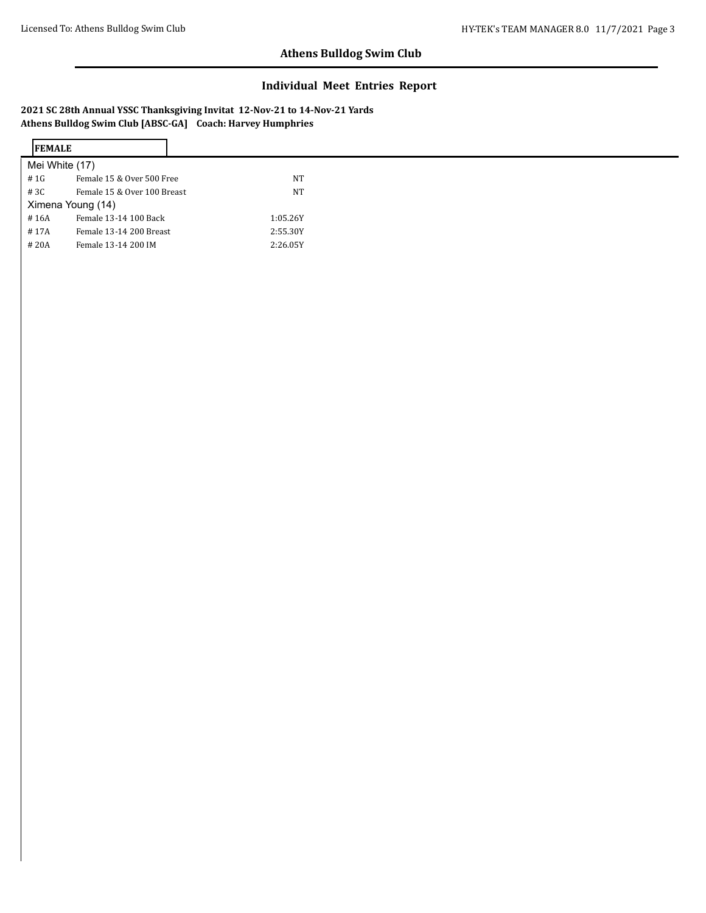## **Individual Meet Entries Report**

**2021 SC 28th Annual YSSC Thanksgiving Invitat 12-Nov-21 to 14-Nov-21 Yards Athens Bulldog Swim Club [ABSC-GA] Coach: Harvey Humphries**

| <b>IFEMALE</b> |                             |
|----------------|-----------------------------|
|                | Mei White (17)              |
| # 1G           | Female 15 & Over 500 Free   |
| #3C            | Female 15 & Over 100 Breast |
|                | Ximena Young (14)           |
| #16A           | Female 13-14 100 Back       |
| #17A           | Female 13-14 200 Breast     |
| #20A           | Female 13-14 200 IM         |
|                |                             |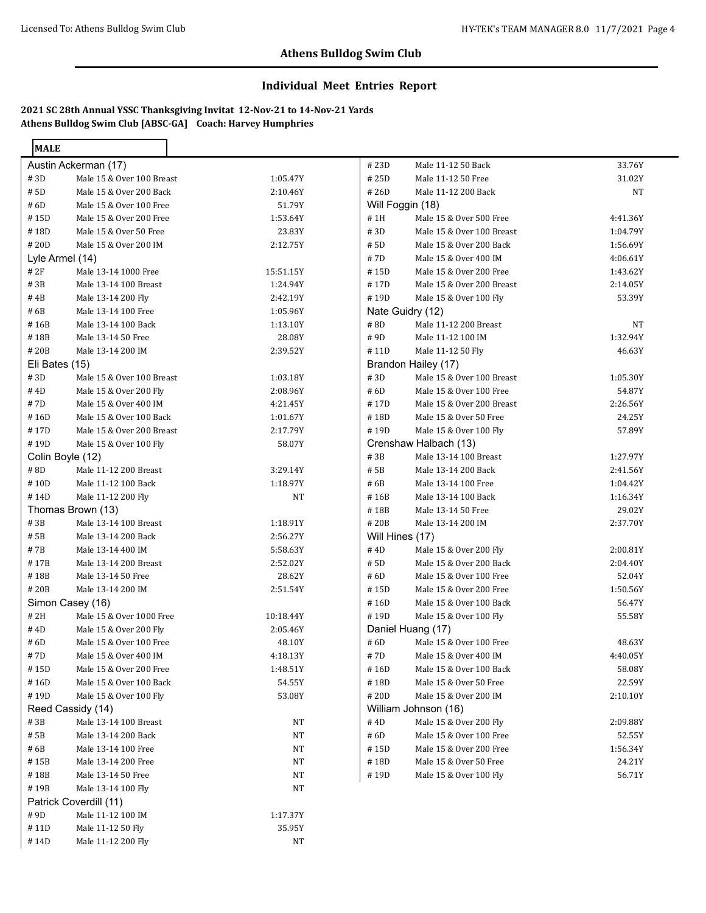### **Individual Meet Entries Report**

**2021 SC 28th Annual YSSC Thanksgiving Invitat 12-Nov-21 to 14-Nov-21 Yards Athens Bulldog Swim Club [ABSC-GA] Coach: Harvey Humphries**

| <b>MALE</b>    |                           |           |                 |                           |          |
|----------------|---------------------------|-----------|-----------------|---------------------------|----------|
|                | Austin Ackerman (17)      |           | #23D            | Male 11-12 50 Back        | 33.76Y   |
| #3D            | Male 15 & Over 100 Breast | 1:05.47Y  | #25D            | Male 11-12 50 Free        | 31.02Y   |
| # 5D           | Male 15 & Over 200 Back   | 2:10.46Y  | #26D            | Male 11-12 200 Back       | NT       |
| #6D            | Male 15 & Over 100 Free   | 51.79Y    |                 | Will Foggin (18)          |          |
| #15D           | Male 15 & Over 200 Free   | 1:53.64Y  | #1H             | Male 15 & Over 500 Free   | 4:41.36Y |
| #18D           | Male 15 & Over 50 Free    | 23.83Y    | #3D             | Male 15 & Over 100 Breast | 1:04.79Y |
| #20D           | Male 15 & Over 200 IM     | 2:12.75Y  | # 5D            | Male 15 & Over 200 Back   | 1:56.69Y |
|                | Lyle Armel (14)           |           | #7D             | Male 15 & Over 400 IM     | 4:06.61Y |
| # 2F           | Male 13-14 1000 Free      | 15:51.15Y | #15D            | Male 15 & Over 200 Free   | 1:43.62Y |
| #3B            | Male 13-14 100 Breast     | 1:24.94Y  | #17D            | Male 15 & Over 200 Breast | 2:14.05Y |
| #4B            | Male 13-14 200 Fly        | 2:42.19Y  | #19D            | Male 15 & Over 100 Fly    | 53.39Y   |
| #6B            | Male 13-14 100 Free       | 1:05.96Y  |                 | Nate Guidry (12)          |          |
| #16B           | Male 13-14 100 Back       | 1:13.10Y  | $\#$ 8D         | Male 11-12 200 Breast     | NT       |
| #18B           | Male 13-14 50 Free        | 28.08Y    | #9D             | Male 11-12 100 IM         | 1:32.94Y |
| #20B           | Male 13-14 200 IM         | 2:39.52Y  | #11D            | Male 11-12 50 Fly         | 46.63Y   |
| Eli Bates (15) |                           |           |                 | Brandon Hailey (17)       |          |
| #3D            | Male 15 & Over 100 Breast | 1:03.18Y  | #3D             | Male 15 & Over 100 Breast | 1:05.30Y |
| #4D            | Male 15 & Over 200 Fly    | 2:08.96Y  | #6D             | Male 15 & Over 100 Free   | 54.87Y   |
| #7D            | Male 15 & Over 400 IM     | 4:21.45Y  | #17D            | Male 15 & Over 200 Breast | 2:26.56Y |
| #16D           | Male 15 & Over 100 Back   | 1:01.67Y  | #18D            | Male 15 & Over 50 Free    | 24.25Y   |
| #17D           | Male 15 & Over 200 Breast | 2:17.79Y  | #19D            | Male 15 & Over 100 Fly    | 57.89Y   |
| #19D           | Male 15 & Over 100 Fly    | 58.07Y    |                 | Crenshaw Halbach (13)     |          |
|                | Colin Boyle (12)          |           | #3B             | Male 13-14 100 Breast     | 1:27.97Y |
| #8D            | Male 11-12 200 Breast     | 3:29.14Y  | # 5B            | Male 13-14 200 Back       | 2:41.56Y |
| $\#$ 10D       | Male 11-12 100 Back       | 1:18.97Y  | # 6B            | Male 13-14 100 Free       | 1:04.42Y |
| #14D           | Male 11-12 200 Fly        | NT        | #16B            | Male 13-14 100 Back       | 1:16.34Y |
|                | Thomas Brown (13)         |           | #18B            | Male 13-14 50 Free        | 29.02Y   |
| #3B            | Male 13-14 100 Breast     | 1:18.91Y  | #20B            | Male 13-14 200 IM         | 2:37.70Y |
| # 5B           | Male 13-14 200 Back       | 2:56.27Y  | Will Hines (17) |                           |          |
| #7B            | Male 13-14 400 IM         | 5:58.63Y  | #4D             | Male 15 & Over 200 Fly    | 2:00.81Y |
| $\#$ 17B       | Male 13-14 200 Breast     | 2:52.02Y  | # 5D            | Male 15 & Over 200 Back   | 2:04.40Y |
| $\#$ 18B       | Male 13-14 50 Free        | 28.62Y    | # 6D            | Male 15 & Over 100 Free   | 52.04Y   |
| #20B           | Male 13-14 200 IM         | 2:51.54Y  | #15D            | Male 15 & Over 200 Free   | 1:50.56Y |
|                | Simon Casey (16)          |           | #16D            | Male 15 & Over 100 Back   | 56.47Y   |
| # 2H           | Male 15 & Over 1000 Free  | 10:18.44Y | #19D            | Male 15 & Over 100 Fly    | 55.58Y   |
| #4D            | Male 15 & Over 200 Fly    | 2:05.46Y  |                 | Daniel Huang (17)         |          |
| #6D            | Male 15 & Over 100 Free   | 48.10Y    | # 6D            | Male 15 & Over 100 Free   | 48.63Y   |
| #7D            | Male 15 & Over 400 IM     | 4:18.13Y  | $\#$ 7D         | Male 15 & Over 400 IM     | 4:40.05Y |
| #15D           | Male 15 & Over 200 Free   | 1:48.51Y  | #16D            | Male 15 & Over 100 Back   | 58.08Y   |
| #16D           | Male 15 & Over 100 Back   | 54.55Y    | #18D            | Male 15 & Over 50 Free    | 22.59Y   |
| #19D           | Male 15 & Over 100 Fly    | 53.08Y    | #20D            | Male 15 & Over 200 IM     | 2:10.10Y |
|                | Reed Cassidy (14)         |           |                 | William Johnson (16)      |          |
| #3B            | Male 13-14 100 Breast     | NT        | #4D             | Male 15 & Over 200 Fly    | 2:09.88Y |
| # 5B           | Male 13-14 200 Back       | NT        | # 6D            | Male 15 & Over 100 Free   | 52.55Y   |
| # 6B           | Male 13-14 100 Free       | NT        | #15D            | Male 15 & Over 200 Free   | 1:56.34Y |
| #15B           | Male 13-14 200 Free       | NT        | #18D            | Male 15 & Over 50 Free    | 24.21Y   |
| #18B           | Male 13-14 50 Free        | <b>NT</b> | #19D            | Male 15 & Over 100 Fly    | 56.71Y   |
| #19B           | Male 13-14 100 Fly        | NT        |                 |                           |          |
|                | Patrick Coverdill (11)    |           |                 |                           |          |
| #9D            | Male 11-12 100 IM         | 1:17.37Y  |                 |                           |          |
| #11D           | Male 11-12 50 Fly         | 35.95Y    |                 |                           |          |
| #14D           | Male 11-12 200 Fly        | NT        |                 |                           |          |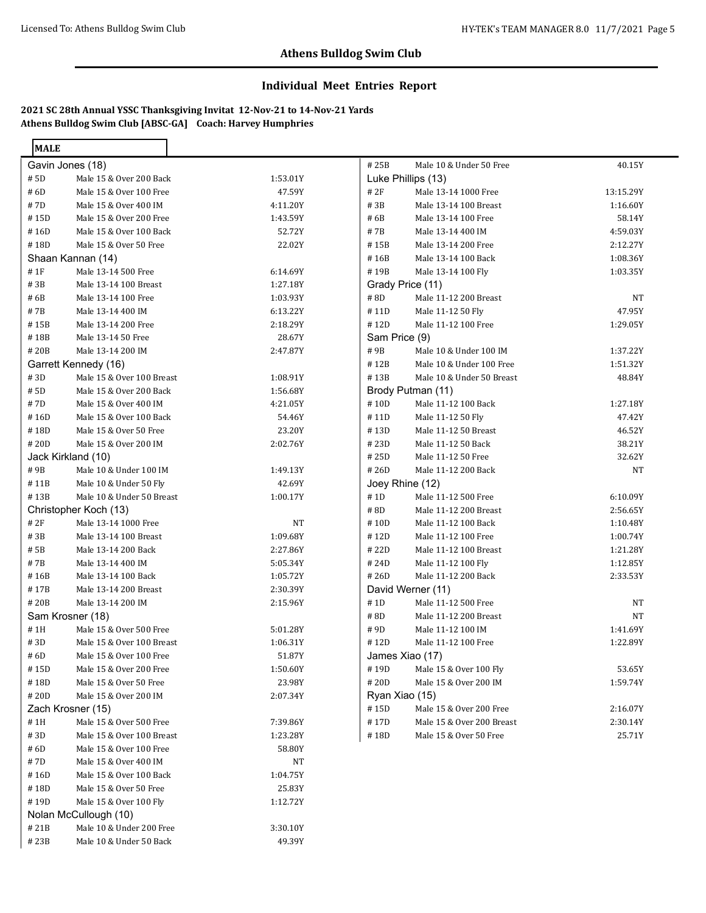### **Individual Meet Entries Report**

**2021 SC 28th Annual YSSC Thanksgiving Invitat 12-Nov-21 to 14-Nov-21 Yards Athens Bulldog Swim Club [ABSC-GA] Coach: Harvey Humphries**

# 21B Male 10 & Under 200 Free 3:30.10Y # 23B Male 10 & Under 50 Back 49.39Y

| <b>MALE</b>        |                           |           |                  |                           |             |
|--------------------|---------------------------|-----------|------------------|---------------------------|-------------|
| Gavin Jones (18)   |                           |           | #25B             | Male 10 & Under 50 Free   | 40.15Y      |
| # 5D               | Male 15 & Over 200 Back   | 1:53.01Y  |                  | Luke Phillips (13)        |             |
| #6D                | Male 15 & Over 100 Free   | 47.59Y    | # 2F             | Male 13-14 1000 Free      | 13:15.29Y   |
| #7D                | Male 15 & Over 400 IM     | 4:11.20Y  | #3B              | Male 13-14 100 Breast     | 1:16.60Y    |
| #15D               | Male 15 & Over 200 Free   | 1:43.59Y  | #6B              | Male 13-14 100 Free       | 58.14Y      |
| #16D               | Male 15 & Over 100 Back   | 52.72Y    | #7B              | Male 13-14 400 IM         | 4:59.03Y    |
| #18D               | Male 15 & Over 50 Free    | 22.02Y    | #15B             | Male 13-14 200 Free       | 2:12.27Y    |
|                    | Shaan Kannan (14)         |           | #16B             | Male 13-14 100 Back       | 1:08.36Y    |
| #1F                | Male 13-14 500 Free       | 6:14.69Y  | #19B             | Male 13-14 100 Fly        | 1:03.35Y    |
| #3B                | Male 13-14 100 Breast     | 1:27.18Y  | Grady Price (11) |                           |             |
| #6B                | Male 13-14 100 Free       | 1:03.93Y  | $\#$ 8D          | Male 11-12 200 Breast     | $_{\rm NT}$ |
| #7B                | Male 13-14 400 IM         | 6:13.22Y  | #11D             | Male 11-12 50 Fly         | 47.95Y      |
| #15B               | Male 13-14 200 Free       | 2:18.29Y  | #12D             | Male 11-12 100 Free       | 1:29.05Y    |
| #18B               | Male 13-14 50 Free        | 28.67Y    | Sam Price (9)    |                           |             |
| #20B               | Male 13-14 200 IM         | 2:47.87Y  | #9B              | Male 10 & Under 100 IM    | 1:37.22Y    |
|                    | Garrett Kennedy (16)      |           | #12B             | Male 10 & Under 100 Free  | 1:51.32Y    |
| #3D                | Male 15 & Over 100 Breast | 1:08.91Y  | #13B             | Male 10 & Under 50 Breast | 48.84Y      |
| # 5D               | Male 15 & Over 200 Back   | 1:56.68Y  |                  | Brody Putman (11)         |             |
| #7D                | Male 15 & Over 400 IM     | 4:21.05Y  | #10D             | Male 11-12 100 Back       | 1:27.18Y    |
| #16D               | Male 15 & Over 100 Back   | 54.46Y    | #11D             | Male 11-12 50 Fly         | 47.42Y      |
| #18D               | Male 15 & Over 50 Free    | 23.20Y    | #13D             | Male 11-12 50 Breast      | 46.52Y      |
| #20D               | Male 15 & Over 200 IM     | 2:02.76Y  | #23D             | Male 11-12 50 Back        | 38.21Y      |
| Jack Kirkland (10) |                           |           | #25D             | Male 11-12 50 Free        | 32.62Y      |
| #9B                | Male 10 & Under 100 IM    | 1:49.13Y  | #26D             | Male 11-12 200 Back       | NT          |
| #11B               | Male 10 & Under 50 Fly    | 42.69Y    | Joey Rhine (12)  |                           |             |
| #13B               | Male 10 & Under 50 Breast | 1:00.17Y  | # 1D             | Male 11-12 500 Free       | 6:10.09Y    |
|                    | Christopher Koch (13)     |           | #8D              | Male 11-12 200 Breast     | 2:56.65Y    |
| # 2F               | Male 13-14 1000 Free      | <b>NT</b> | #10D             | Male 11-12 100 Back       | 1:10.48Y    |
| #3B                | Male 13-14 100 Breast     | 1:09.68Y  | #12D             | Male 11-12 100 Free       | 1:00.74Y    |
| # 5B               | Male 13-14 200 Back       | 2:27.86Y  | #22D             | Male 11-12 100 Breast     | 1:21.28Y    |
| #7B                | Male 13-14 400 IM         | 5:05.34Y  | #24D             | Male 11-12 100 Fly        | 1:12.85Y    |
| #16B               | Male 13-14 100 Back       | 1:05.72Y  | #26D             | Male 11-12 200 Back       | 2:33.53Y    |
| #17B               | Male 13-14 200 Breast     | 2:30.39Y  |                  | David Werner (11)         |             |
| #20B               | Male 13-14 200 IM         | 2:15.96Y  | # 1D             | Male 11-12 500 Free       | <b>NT</b>   |
| Sam Krosner (18)   |                           |           | #8D              | Male 11-12 200 Breast     | $\rm{NT}$   |
| #1H                | Male 15 & Over 500 Free   | 5:01.28Y  | #9D              | Male 11-12 100 IM         | 1:41.69Y    |
| #3D                | Male 15 & Over 100 Breast | 1:06.31Y  | #12D             | Male 11-12 100 Free       | 1:22.89Y    |
| # 6D               | Male 15 & Over 100 Free   | 51.87Y    |                  | James Xiao (17)           |             |
| #15D               | Male 15 & Over 200 Free   | 1:50.60Y  | #19D             | Male 15 & Over 100 Fly    | 53.65Y      |
| #18D               | Male 15 & Over 50 Free    | 23.98Y    | #20D             | Male 15 & Over 200 IM     | 1:59.74Y    |
| #20D               | Male 15 & Over 200 IM     | 2:07.34Y  | Ryan Xiao (15)   |                           |             |
|                    | Zach Krosner (15)         |           | #15D             | Male 15 & Over 200 Free   | 2:16.07Y    |
| #1H                | Male 15 & Over 500 Free   | 7:39.86Y  | #17D             | Male 15 & Over 200 Breast | 2:30.14Y    |
| #3D                | Male 15 & Over 100 Breast | 1:23.28Y  | #18D             | Male 15 & Over 50 Free    | 25.71Y      |
| # 6D               | Male 15 & Over 100 Free   | 58.80Y    |                  |                           |             |
| #7D                | Male 15 & Over 400 IM     | NT        |                  |                           |             |
| #16D               | Male 15 & Over 100 Back   | 1:04.75Y  |                  |                           |             |
| #18D               | Male 15 & Over 50 Free    | 25.83Y    |                  |                           |             |
| #19D               | Male 15 & Over 100 Fly    | 1:12.72Y  |                  |                           |             |
|                    | Nolan McCullough (10)     |           |                  |                           |             |